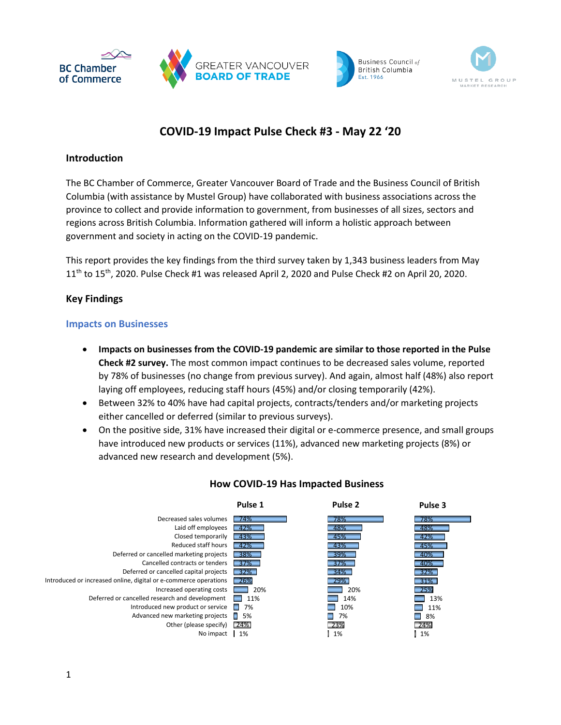





# **COVID-19 Impact Pulse Check #3 - May 22 '20**

## **Introduction**

The BC Chamber of Commerce, Greater Vancouver Board of Trade and the Business Council of British Columbia (with assistance by Mustel Group) have collaborated with business associations across the province to collect and provide information to government, from businesses of all sizes, sectors and regions across British Columbia. Information gathered will inform a holistic approach between government and society in acting on the COVID-19 pandemic.

This report provides the key findings from the third survey taken by 1,343 business leaders from May  $11<sup>th</sup>$  to  $15<sup>th</sup>$ , 2020. Pulse Check #1 was released April 2, 2020 and Pulse Check #2 on April 20, 2020.

# **Key Findings**

## **Impacts on Businesses**

- **Impacts on businesses from the COVID-19 pandemic are similar to those reported in the Pulse Check #2 survey.** The most common impact continues to be decreased sales volume, reported by 78% of businesses (no change from previous survey). And again, almost half (48%) also report laying off employees, reducing staff hours (45%) and/or closing temporarily (42%).
- Between 32% to 40% have had capital projects, contracts/tenders and/or marketing projects either cancelled or deferred (similar to previous surveys).
- On the positive side, 31% have increased their digital or e-commerce presence, and small groups have introduced new products or services (11%), advanced new marketing projects (8%) or advanced new research and development (5%).



# **How COVID-19 Has Impacted Business**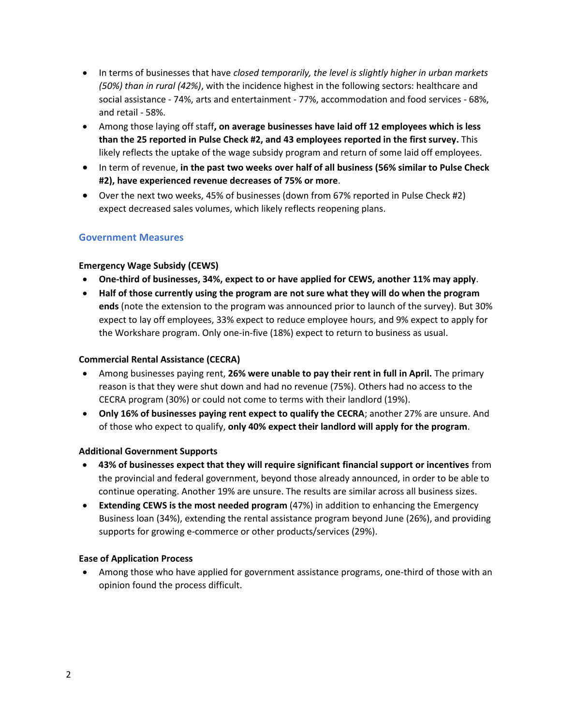- In terms of businesses that have *closed temporarily, the level is slightly higher in urban markets (50%) than in rural (42%)*, with the incidence highest in the following sectors: healthcare and social assistance - 74%, arts and entertainment - 77%, accommodation and food services - 68%, and retail - 58%.
- Among those laying off staff**, on average businesses have laid off 12 employees which is less than the 25 reported in Pulse Check #2, and 43 employees reported in the first survey.** This likely reflects the uptake of the wage subsidy program and return of some laid off employees.
- In term of revenue, **in the past two weeks over half of all business (56% similar to Pulse Check #2), have experienced revenue decreases of 75% or more**.
- Over the next two weeks, 45% of businesses (down from 67% reported in Pulse Check #2) expect decreased sales volumes, which likely reflects reopening plans.

## **Government Measures**

#### **Emergency Wage Subsidy (CEWS)**

- **One-third of businesses, 34%, expect to or have applied for CEWS, another 11% may apply**.
- **Half of those currently using the program are not sure what they will do when the program ends** (note the extension to the program was announced prior to launch of the survey). But 30% expect to lay off employees, 33% expect to reduce employee hours, and 9% expect to apply for the Workshare program. Only one-in-five (18%) expect to return to business as usual.

#### **Commercial Rental Assistance (CECRA)**

- Among businesses paying rent, **26% were unable to pay their rent in full in April.** The primary reason is that they were shut down and had no revenue (75%). Others had no access to the CECRA program (30%) or could not come to terms with their landlord (19%).
- **Only 16% of businesses paying rent expect to qualify the CECRA**; another 27% are unsure. And of those who expect to qualify, **only 40% expect their landlord will apply for the program**.

#### **Additional Government Supports**

- **43% of businesses expect that they will require significant financial support or incentives** from the provincial and federal government, beyond those already announced, in order to be able to continue operating. Another 19% are unsure. The results are similar across all business sizes.
- **Extending CEWS is the most needed program** (47%) in addition to enhancing the Emergency Business loan (34%), extending the rental assistance program beyond June (26%), and providing supports for growing e-commerce or other products/services (29%).

#### **Ease of Application Process**

• Among those who have applied for government assistance programs, one-third of those with an opinion found the process difficult.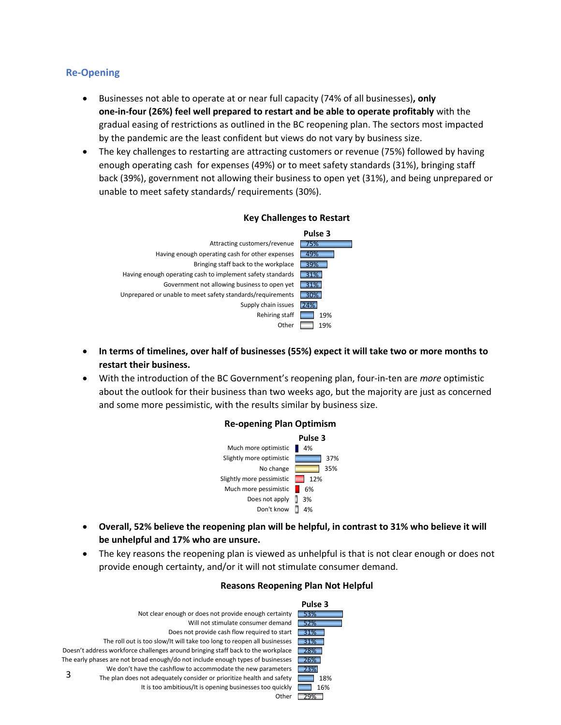## **Re-Opening**

- Businesses not able to operate at or near full capacity (74% of all businesses)**, only one-in-four (26%) feel well prepared to restart and be able to operate profitably** with the gradual easing of restrictions as outlined in the BC reopening plan. The sectors most impacted by the pandemic are the least confident but views do not vary by business size.
- The key challenges to restarting are attracting customers or revenue (75%) followed by having enough operating cash for expenses (49%) or to meet safety standards (31%), bringing staff back (39%), government not allowing their business to open yet (31%), and being unprepared or unable to meet safety standards/ requirements (30%).



#### **Key Challenges to Restart**

- **In terms of timelines, over half of businesses (55%) expect it will take two or more months to restart their business.**
- With the introduction of the BC Government's reopening plan, four-in-ten are *more* optimistic about the outlook for their business than two weeks ago, but the majority are just as concerned and some more pessimistic, with the results similar by business size.



## **Re-opening Plan Optimism**

- **Overall, 52% believe the reopening plan will be helpful, in contrast to 31% who believe it will be unhelpful and 17% who are unsure.**
- The key reasons the reopening plan is viewed as unhelpful is that is not clear enough or does not provide enough certainty, and/or it will not stimulate consumer demand.



#### **Reasons Reopening Plan Not Helpful**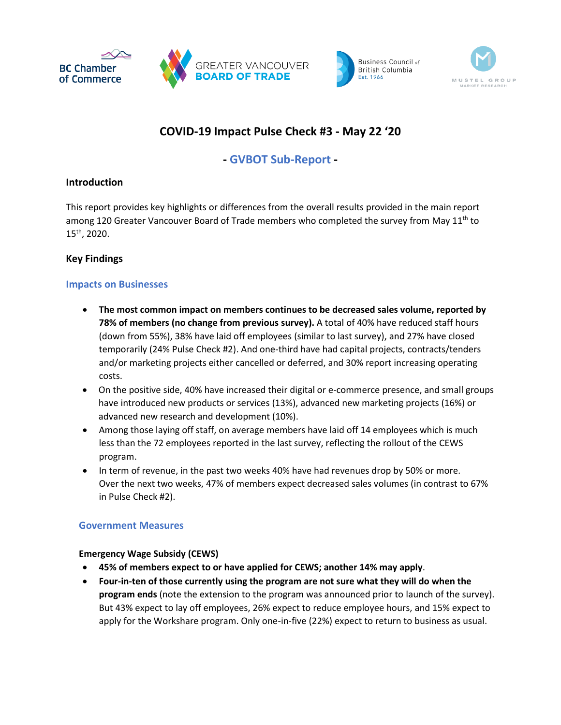





# **COVID-19 Impact Pulse Check #3 - May 22 '20**

# **- GVBOT Sub-Report -**

## **Introduction**

This report provides key highlights or differences from the overall results provided in the main report among 120 Greater Vancouver Board of Trade members who completed the survey from May  $11<sup>th</sup>$  to 15th, 2020.

# **Key Findings**

## **Impacts on Businesses**

- **The most common impact on members continues to be decreased sales volume, reported by 78% of members (no change from previous survey).** A total of 40% have reduced staff hours (down from 55%), 38% have laid off employees (similar to last survey), and 27% have closed temporarily (24% Pulse Check #2). And one-third have had capital projects, contracts/tenders and/or marketing projects either cancelled or deferred, and 30% report increasing operating costs.
- On the positive side, 40% have increased their digital or e-commerce presence, and small groups have introduced new products or services (13%), advanced new marketing projects (16%) or advanced new research and development (10%).
- Among those laying off staff, on average members have laid off 14 employees which is much less than the 72 employees reported in the last survey, reflecting the rollout of the CEWS program.
- In term of revenue, in the past two weeks 40% have had revenues drop by 50% or more. Over the next two weeks, 47% of members expect decreased sales volumes (in contrast to 67% in Pulse Check #2).

# **Government Measures**

## **Emergency Wage Subsidy (CEWS)**

- **45% of members expect to or have applied for CEWS; another 14% may apply**.
- **Four-in-ten of those currently using the program are not sure what they will do when the program ends** (note the extension to the program was announced prior to launch of the survey). But 43% expect to lay off employees, 26% expect to reduce employee hours, and 15% expect to apply for the Workshare program. Only one-in-five (22%) expect to return to business as usual.